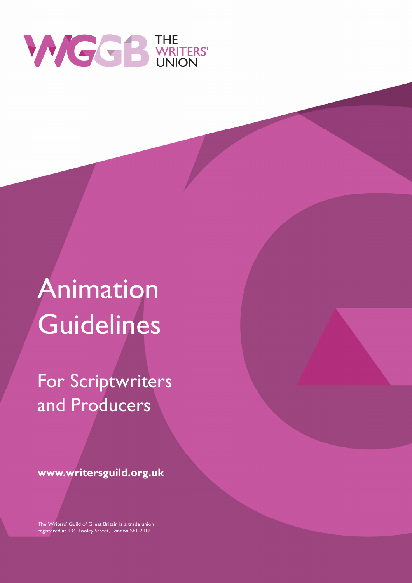

# Animation **Guidelines**

For Scriptwriters and Producers

www.writersguild.org.uk

The Writers' Guild of Great Britain is a trade union registered at 134 Tooley Street, London SE1 2TU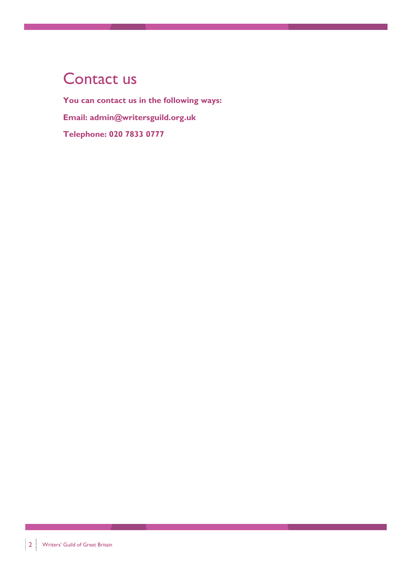### Contact us

You can contact us in the following ways: Email: admin@writersguild.org.uk Telephone: 020 7833 0777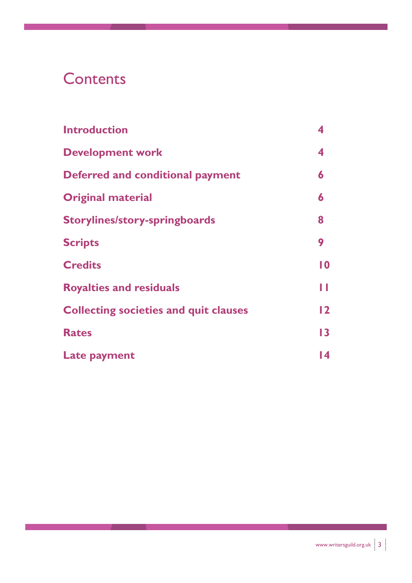### **Contents**

| <b>Introduction</b>                          |                |
|----------------------------------------------|----------------|
| <b>Development work</b>                      | 4              |
| <b>Deferred and conditional payment</b>      | 6              |
| <b>Original material</b>                     | 6              |
| <b>Storylines/story-springboards</b>         | 8              |
| <b>Scripts</b>                               | 9              |
| <b>Credits</b>                               | 10             |
| <b>Royalties and residuals</b>               | ш              |
| <b>Collecting societies and quit clauses</b> | $\overline{2}$ |
| <b>Rates</b>                                 | 13             |
| Late payment                                 | 14             |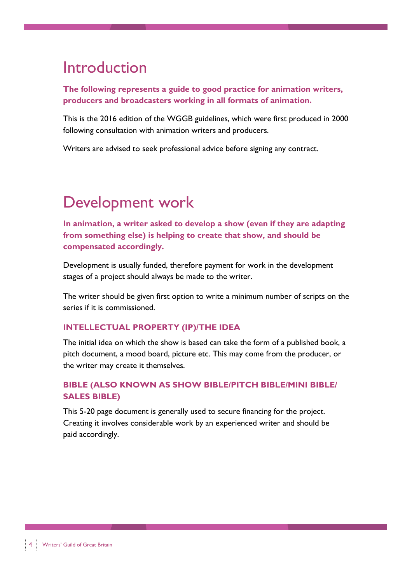#### Introduction

The following represents a guide to good practice for animation writers, producers and broadcasters working in all formats of animation.

This is the 2016 edition of the WGGB guidelines, which were first produced in 2000 following consultation with animation writers and producers.

Writers are advised to seek professional advice before signing any contract.

# Development work

In animation, a writer asked to develop a show (even if they are adapting from something else) is helping to create that show, and should be compensated accordingly.

Development is usually funded, therefore payment for work in the development stages of a project should always be made to the writer.

The writer should be given first option to write a minimum number of scripts on the series if it is commissioned.

#### INTELLECTUAL PROPERTY (IP)/THE IDEA

The initial idea on which the show is based can take the form of a published book, a pitch document, a mood board, picture etc. This may come from the producer, or the writer may create it themselves.

#### BIBLE (ALSO KNOWN AS SHOW BIBLE/PITCH BIBLE/MINI BIBLE/ SALES BIBLE)

This 5-20 page document is generally used to secure financing for the project. Creating it involves considerable work by an experienced writer and should be paid accordingly.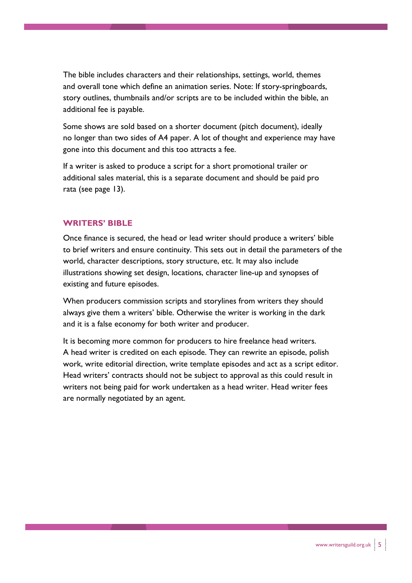The bible includes characters and their relationships, settings, world, themes and overall tone which define an animation series. Note: If story-springboards, story outlines, thumbnails and/or scripts are to be included within the bible, an additional fee is payable.

Some shows are sold based on a shorter document (pitch document), ideally no longer than two sides of A4 paper. A lot of thought and experience may have gone into this document and this too attracts a fee.

If a writer is asked to produce a script for a short promotional trailer or additional sales material, this is a separate document and should be paid pro rata (see page 13).

#### WRITERS' BIBLE

Once finance is secured, the head or lead writer should produce a writers' bible to brief writers and ensure continuity. This sets out in detail the parameters of the world, character descriptions, story structure, etc. It may also include illustrations showing set design, locations, character line-up and synopses of existing and future episodes.

When producers commission scripts and storylines from writers they should always give them a writers' bible. Otherwise the writer is working in the dark and it is a false economy for both writer and producer.

It is becoming more common for producers to hire freelance head writers. A head writer is credited on each episode. They can rewrite an episode, polish work, write editorial direction, write template episodes and act as a script editor. Head writers' contracts should not be subject to approval as this could result in writers not being paid for work undertaken as a head writer. Head writer fees are normally negotiated by an agent.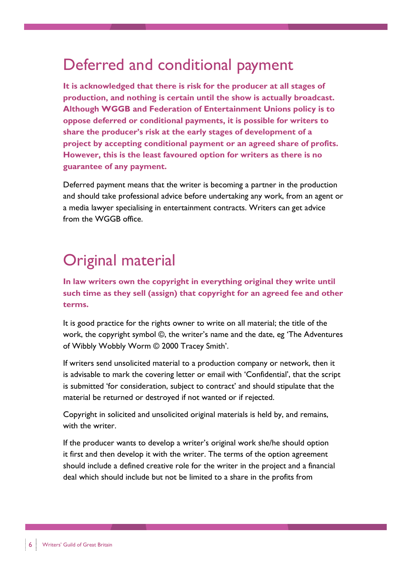#### Deferred and conditional payment

It is acknowledged that there is risk for the producer at all stages of production, and nothing is certain until the show is actually broadcast. Although WGGB and Federation of Entertainment Unions policy is to oppose deferred or conditional payments, it is possible for writers to share the producer's risk at the early stages of development of a project by accepting conditional payment or an agreed share of profits. However, this is the least favoured option for writers as there is no guarantee of any payment.

Deferred payment means that the writer is becoming a partner in the production and should take professional advice before undertaking any work, from an agent or a media lawyer specialising in entertainment contracts. Writers can get advice from the WGGB office.

## Original material

In law writers own the copyright in everything original they write until such time as they sell (assign) that copyright for an agreed fee and other terms.

It is good practice for the rights owner to write on all material; the title of the work, the copyright symbol ©, the writer's name and the date, eg 'The Adventures of Wibbly Wobbly Worm © 2000 Tracey Smith'.

If writers send unsolicited material to a production company or network, then it is advisable to mark the covering letter or email with 'Confidential', that the script is submitted 'for consideration, subject to contract' and should stipulate that the material be returned or destroyed if not wanted or if rejected.

Copyright in solicited and unsolicited original materials is held by, and remains, with the writer.

If the producer wants to develop a writer's original work she/he should option it first and then develop it with the writer. The terms of the option agreement should include a defined creative role for the writer in the project and a financial deal which should include but not be limited to a share in the profits from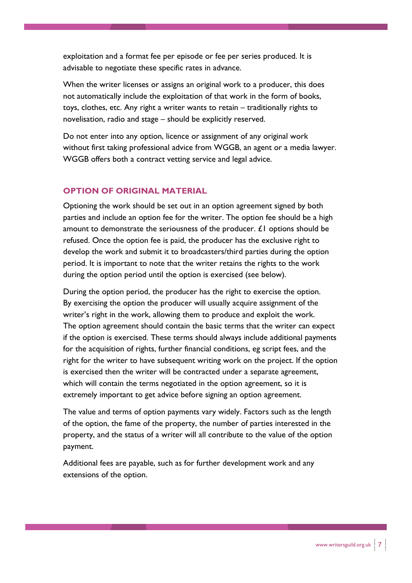exploitation and a format fee per episode or fee per series produced. It is advisable to negotiate these specific rates in advance.

When the writer licenses or assigns an original work to a producer, this does not automatically include the exploitation of that work in the form of books, toys, clothes, etc. Any right a writer wants to retain – traditionally rights to novelisation, radio and stage – should be explicitly reserved.

Do not enter into any option, licence or assignment of any original work without first taking professional advice from WGGB, an agent or a media lawyer. WGGB offers both a contract vetting service and legal advice.

#### OPTION OF ORIGINAL MATERIAL

Optioning the work should be set out in an option agreement signed by both parties and include an option fee for the writer. The option fee should be a high amount to demonstrate the seriousness of the producer.  $E1$  options should be refused. Once the option fee is paid, the producer has the exclusive right to develop the work and submit it to broadcasters/third parties during the option period. It is important to note that the writer retains the rights to the work during the option period until the option is exercised (see below).

During the option period, the producer has the right to exercise the option. By exercising the option the producer will usually acquire assignment of the writer's right in the work, allowing them to produce and exploit the work. The option agreement should contain the basic terms that the writer can expect if the option is exercised. These terms should always include additional payments for the acquisition of rights, further financial conditions, eg script fees, and the right for the writer to have subsequent writing work on the project. If the option is exercised then the writer will be contracted under a separate agreement, which will contain the terms negotiated in the option agreement, so it is extremely important to get advice before signing an option agreement.

The value and terms of option payments vary widely. Factors such as the length of the option, the fame of the property, the number of parties interested in the property, and the status of a writer will all contribute to the value of the option payment.

Additional fees are payable, such as for further development work and any extensions of the option.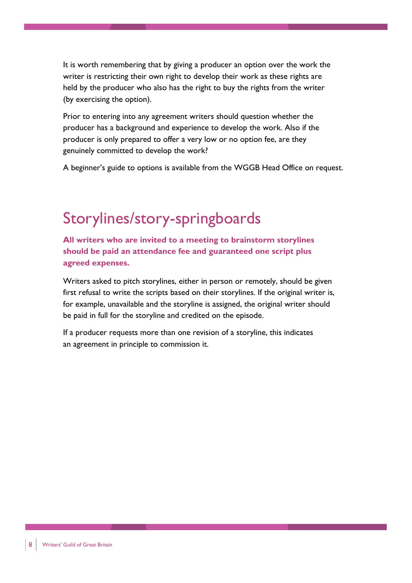It is worth remembering that by giving a producer an option over the work the writer is restricting their own right to develop their work as these rights are held by the producer who also has the right to buy the rights from the writer (by exercising the option).

Prior to entering into any agreement writers should question whether the producer has a background and experience to develop the work. Also if the producer is only prepared to offer a very low or no option fee, are they genuinely committed to develop the work?

A beginner's guide to options is available from the WGGB Head Office on request.

### Storylines/story-springboards

All writers who are invited to a meeting to brainstorm storylines should be paid an attendance fee and guaranteed one script plus agreed expenses.

Writers asked to pitch storylines, either in person or remotely, should be given first refusal to write the scripts based on their storylines. If the original writer is, for example, unavailable and the storyline is assigned, the original writer should be paid in full for the storyline and credited on the episode.

If a producer requests more than one revision of a storyline, this indicates an agreement in principle to commission it.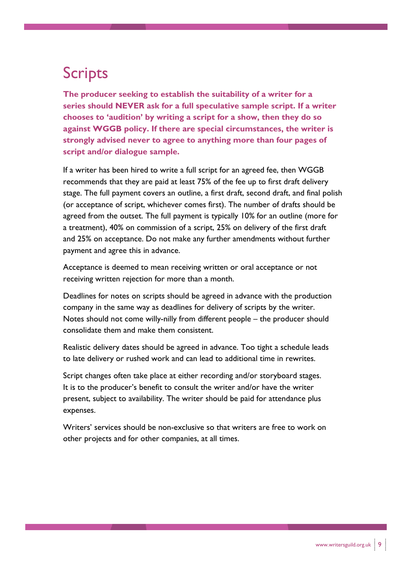# Scripts

The producer seeking to establish the suitability of a writer for a series should NEVER ask for a full speculative sample script. If a writer chooses to 'audition' by writing a script for a show, then they do so against WGGB policy. If there are special circumstances, the writer is strongly advised never to agree to anything more than four pages of script and/or dialogue sample.

If a writer has been hired to write a full script for an agreed fee, then WGGB recommends that they are paid at least 75% of the fee up to first draft delivery stage. The full payment covers an outline, a first draft, second draft, and final polish (or acceptance of script, whichever comes first). The number of drafts should be agreed from the outset. The full payment is typically 10% for an outline (more for a treatment), 40% on commission of a script, 25% on delivery of the first draft and 25% on acceptance. Do not make any further amendments without further payment and agree this in advance.

Acceptance is deemed to mean receiving written or oral acceptance or not receiving written rejection for more than a month.

Deadlines for notes on scripts should be agreed in advance with the production company in the same way as deadlines for delivery of scripts by the writer. Notes should not come willy-nilly from different people – the producer should consolidate them and make them consistent.

Realistic delivery dates should be agreed in advance. Too tight a schedule leads to late delivery or rushed work and can lead to additional time in rewrites.

Script changes often take place at either recording and/or storyboard stages. It is to the producer's benefit to consult the writer and/or have the writer present, subject to availability. The writer should be paid for attendance plus expenses.

Writers' services should be non-exclusive so that writers are free to work on other projects and for other companies, at all times.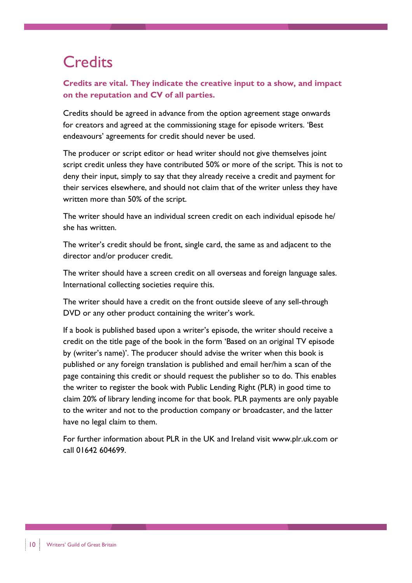# **Credits**

Credits are vital. They indicate the creative input to a show, and impact on the reputation and CV of all parties.

Credits should be agreed in advance from the option agreement stage onwards for creators and agreed at the commissioning stage for episode writers. 'Best endeavours' agreements for credit should never be used.

The producer or script editor or head writer should not give themselves joint script credit unless they have contributed 50% or more of the script. This is not to deny their input, simply to say that they already receive a credit and payment for their services elsewhere, and should not claim that of the writer unless they have written more than 50% of the script.

The writer should have an individual screen credit on each individual episode he/ she has written.

The writer's credit should be front, single card, the same as and adjacent to the director and/or producer credit.

The writer should have a screen credit on all overseas and foreign language sales. International collecting societies require this.

The writer should have a credit on the front outside sleeve of any sell-through DVD or any other product containing the writer's work.

If a book is published based upon a writer's episode, the writer should receive a credit on the title page of the book in the form 'Based on an original TV episode by (writer's name)'. The producer should advise the writer when this book is published or any foreign translation is published and email her/him a scan of the page containing this credit or should request the publisher so to do. This enables the writer to register the book with Public Lending Right (PLR) in good time to claim 20% of library lending income for that book. PLR payments are only payable to the writer and not to the production company or broadcaster, and the latter have no legal claim to them.

For further information about PLR in the UK and Ireland visit www.plr.uk.com or call 01642 604699.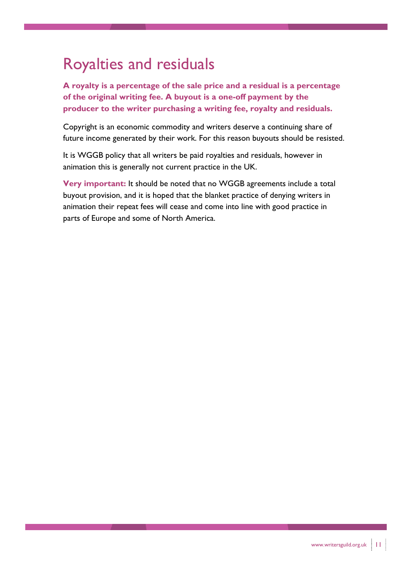### Royalties and residuals

A royalty is a percentage of the sale price and a residual is a percentage of the original writing fee. A buyout is a one-off payment by the producer to the writer purchasing a writing fee, royalty and residuals.

Copyright is an economic commodity and writers deserve a continuing share of future income generated by their work. For this reason buyouts should be resisted.

It is WGGB policy that all writers be paid royalties and residuals, however in animation this is generally not current practice in the UK.

Very important: It should be noted that no WGGB agreements include a total buyout provision, and it is hoped that the blanket practice of denying writers in animation their repeat fees will cease and come into line with good practice in parts of Europe and some of North America.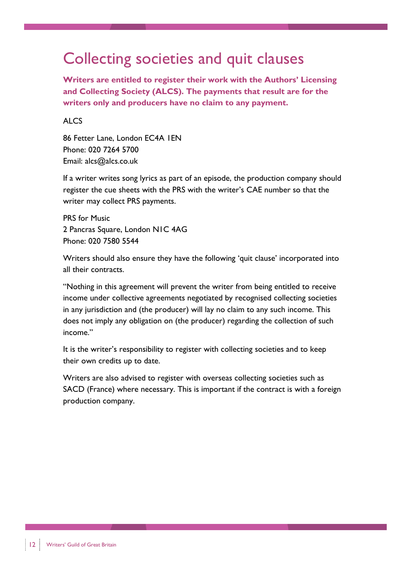#### Collecting societies and quit clauses

Writers are entitled to register their work with the Authors' Licensing and Collecting Society (ALCS). The payments that result are for the writers only and producers have no claim to any payment.

#### ALC<sub>S</sub>

86 Fetter Lane, London EC4A 1EN Phone: 020 7264 5700 Email: alcs@alcs.co.uk

If a writer writes song lyrics as part of an episode, the production company should register the cue sheets with the PRS with the writer's CAE number so that the writer may collect PRS payments.

PRS for Music 2 Pancras Square, London N1C 4AG Phone: 020 7580 5544

Writers should also ensure they have the following 'quit clause' incorporated into all their contracts.

"Nothing in this agreement will prevent the writer from being entitled to receive income under collective agreements negotiated by recognised collecting societies in any jurisdiction and (the producer) will lay no claim to any such income. This does not imply any obligation on (the producer) regarding the collection of such income."

It is the writer's responsibility to register with collecting societies and to keep their own credits up to date.

Writers are also advised to register with overseas collecting societies such as SACD (France) where necessary. This is important if the contract is with a foreign production company.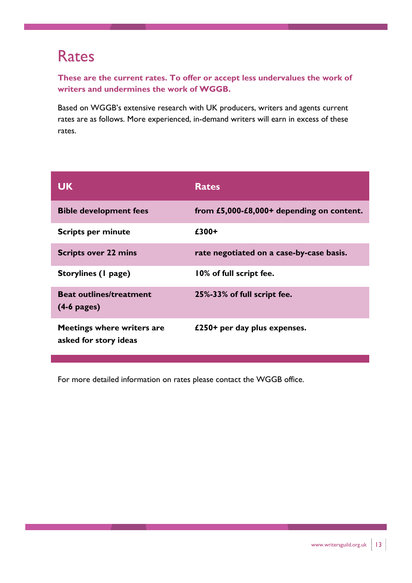#### Rates

These are the current rates. To offer or accept less undervalues the work of writers and undermines the work of WGGB.

Based on WGGB's extensive research with UK producers, writers and agents current rates are as follows. More experienced, in-demand writers will earn in excess of these rates.

| <b>UK</b>                                           | <b>Rates</b>                              |
|-----------------------------------------------------|-------------------------------------------|
| <b>Bible development fees</b>                       | from £5,000-£8,000+ depending on content. |
| <b>Scripts per minute</b>                           | £300+                                     |
| <b>Scripts over 22 mins</b>                         | rate negotiated on a case-by-case basis.  |
| Storylines (1 page)                                 | 10% of full script fee.                   |
| <b>Beat outlines/treatment</b><br>$(4-6$ pages)     | 25%-33% of full script fee.               |
| Meetings where writers are<br>asked for story ideas | £250+ per day plus expenses.              |

For more detailed information on rates please contact the WGGB office.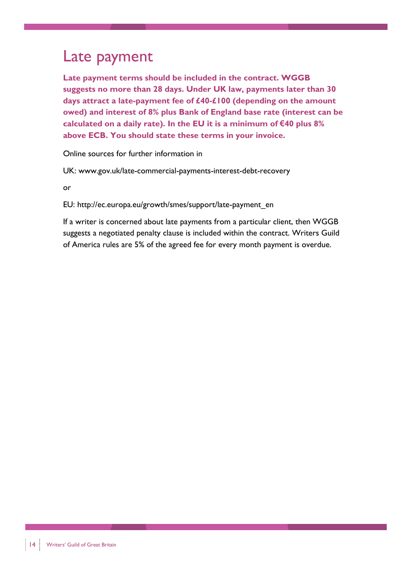#### Late payment

Late payment terms should be included in the contract. WGGB suggests no more than 28 days. Under UK law, payments later than 30 days attract a late-payment fee of £40-£100 (depending on the amount owed) and interest of 8% plus Bank of England base rate (interest can be calculated on a daily rate). In the EU it is a minimum of  $€40$  plus 8% above ECB. You should state these terms in your invoice.

Online sources for further information in

UK: www.gov.uk/late-commercial-payments-interest-debt-recovery

or

EU: http://ec.europa.eu/growth/smes/support/late-payment\_en

If a writer is concerned about late payments from a particular client, then WGGB suggests a negotiated penalty clause is included within the contract. Writers Guild of America rules are 5% of the agreed fee for every month payment is overdue.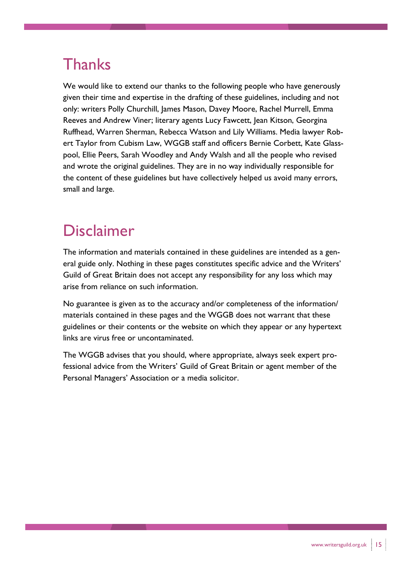# **Thanks**

We would like to extend our thanks to the following people who have generously given their time and expertise in the drafting of these guidelines, including and not only: writers Polly Churchill, James Mason, Davey Moore, Rachel Murrell, Emma Reeves and Andrew Viner; literary agents Lucy Fawcett, Jean Kitson, Georgina Ruffhead, Warren Sherman, Rebecca Watson and Lily Williams. Media lawyer Robert Taylor from Cubism Law, WGGB staff and officers Bernie Corbett, Kate Glasspool, Ellie Peers, Sarah Woodley and Andy Walsh and all the people who revised and wrote the original guidelines. They are in no way individually responsible for the content of these guidelines but have collectively helped us avoid many errors, small and large.

### Disclaimer

The information and materials contained in these guidelines are intended as a general guide only. Nothing in these pages constitutes specific advice and the Writers' Guild of Great Britain does not accept any responsibility for any loss which may arise from reliance on such information.

No guarantee is given as to the accuracy and/or completeness of the information/ materials contained in these pages and the WGGB does not warrant that these guidelines or their contents or the website on which they appear or any hypertext links are virus free or uncontaminated.

The WGGB advises that you should, where appropriate, always seek expert professional advice from the Writers' Guild of Great Britain or agent member of the Personal Managers' Association or a media solicitor.